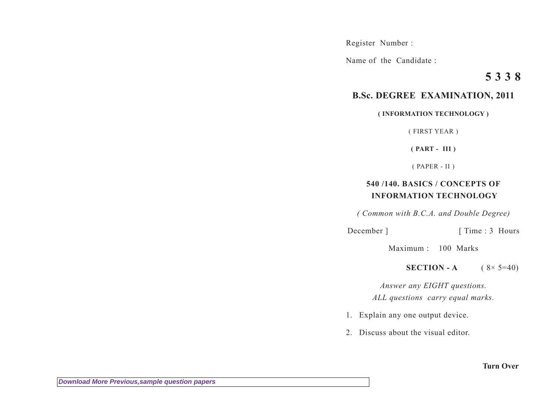Register Number :

Name of the Candidate :

## **5 3 3 8**

## **B.Sc. DEGREE EXAMINATION, 2011**

## **( INFORMATION TECHNOLOGY )**

( FIRST YEAR )

**( PART - III )**

( PAPER - II )

## **540 /140. BASICS / CONCEPTS OF INFORMATION TECHNOLOGY**

*( Common with B.C.A. and Double Degree)*

December ] [ Time : 3 Hours

Maximum : 100 Marks

**SECTION - A**  $(8 \times 5=40)$ 

*Answer any EIGHT questions. ALL questions carry equal marks.*

- 1. Explain any one output device.
- 2. Discuss about the visual editor.